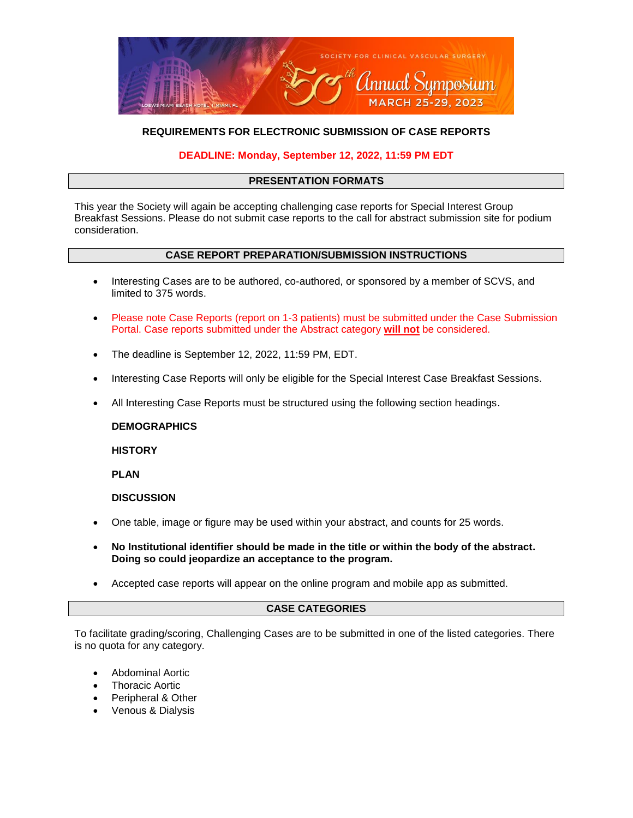

# **REQUIREMENTS FOR ELECTRONIC SUBMISSION OF CASE REPORTS**

## **DEADLINE: Monday, September 12, 2022, 11:59 PM EDT**

#### **PRESENTATION FORMATS**

This year the Society will again be accepting challenging case reports for Special Interest Group Breakfast Sessions. Please do not submit case reports to the call for abstract submission site for podium consideration.

#### **CASE REPORT PREPARATION/SUBMISSION INSTRUCTIONS**

- Interesting Cases are to be authored, co-authored, or sponsored by a member of SCVS, and limited to 375 words.
- Please note Case Reports (report on 1-3 patients) must be submitted under the Case Submission Portal. Case reports submitted under the Abstract category **will not** be considered.
- The deadline is September 12, 2022, 11:59 PM, EDT.
- Interesting Case Reports will only be eligible for the Special Interest Case Breakfast Sessions.
- All Interesting Case Reports must be structured using the following section headings.

**DEMOGRAPHICS** 

**HISTORY** 

**PLAN** 

**DISCUSSION** 

- One table, image or figure may be used within your abstract, and counts for 25 words.
- **No Institutional identifier should be made in the title or within the body of the abstract. Doing so could jeopardize an acceptance to the program.**
- Accepted case reports will appear on the online program and mobile app as submitted.

## **CASE CATEGORIES**

To facilitate grading/scoring, Challenging Cases are to be submitted in one of the listed categories. There is no quota for any category.

- Abdominal Aortic
- Thoracic Aortic
- Peripheral & Other
- Venous & Dialysis